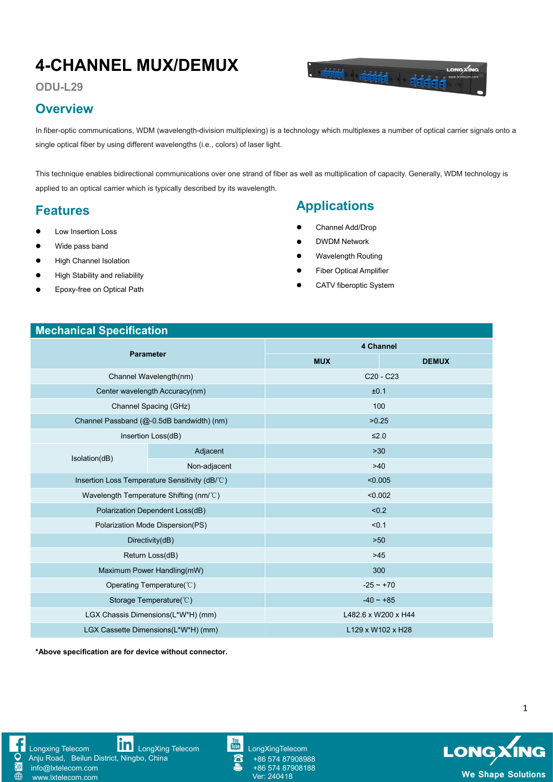# **4-CHANNEL MUX/DEMUX**



**ODU-L29**

#### **Overview**

In fiber-optic communications, WDM (wavelength-division multiplexing) is a technology which multiplexes a number of optical carrier signals onto a single optical fiber by using different wavelengths (i.e., colors) of laser light.

This technique enables bidirectional communications over one strand of fiber as well as multiplication of capacity. Generally, WDM technology is applied to an optical carrier which is typically described by its wavelength.

#### **Features**

- Low Insertion Loss
- Wide pass band
- **•** High Channel Isolation
- **•** High Stability and reliability
- Epoxy-free on Optical Path

# **Applications**

- Channel Add/Drop
- DWDM Network
- Wavelength Routing
- Fiber Optical Amplifier
- CATV fiberoptic System

#### **Mechanical Specification**

| <b>Parameter</b>                               |              | <b>4 Channel</b>                  |              |
|------------------------------------------------|--------------|-----------------------------------|--------------|
|                                                |              | <b>MUX</b>                        | <b>DEMUX</b> |
| Channel Wavelength(nm)                         |              | C <sub>20</sub> - C <sub>23</sub> |              |
| Center wavelength Accuracy(nm)                 |              | ±0.1                              |              |
| Channel Spacing (GHz)                          |              | 100                               |              |
| Channel Passband (@-0.5dB bandwidth) (nm)      |              | >0.25                             |              |
| Insertion Loss(dB)                             |              | $≤2.0$                            |              |
| Isolation(dB)                                  | Adjacent     | $>30$                             |              |
|                                                | Non-adjacent | $>40$                             |              |
| Insertion Loss Temperature Sensitivity (dB/°C) |              | < 0.005                           |              |
| Wavelength Temperature Shifting (nm/°C)        |              | < 0.002                           |              |
| Polarization Dependent Loss(dB)                |              | < 0.2                             |              |
| Polarization Mode Dispersion(PS)               |              | < 0.1                             |              |
| Directivity(dB)                                |              | $>50$                             |              |
| Return Loss(dB)                                |              | $>45$                             |              |
| Maximum Power Handling(mW)                     |              | 300                               |              |
| Operating Temperature( $\degree$ C)            |              | $-25 - +70$                       |              |
| Storage Temperature(°C)                        |              | $-40 \sim +85$                    |              |
| LGX Chassis Dimensions(L*W*H) (mm)             |              | L482.6 x W200 x H44               |              |
| LGX Cassette Dimensions(L*W*H) (mm)            |              | L129 x W102 x H28                 |              |
|                                                |              |                                   |              |

**\*Above specification are for device without connector.**



[Longxing](https://www.facebook.com/longxingtelecom) Telecom **Longxing Telecom** Longxing Telecom Longxing Telecom Anju Road, Beilun District, Ningbo, China

info@lxtelecom.com [www.lxtelecom.com](http://www.lxtelecom.com)

+86 574 87908988 +86 574 87908188

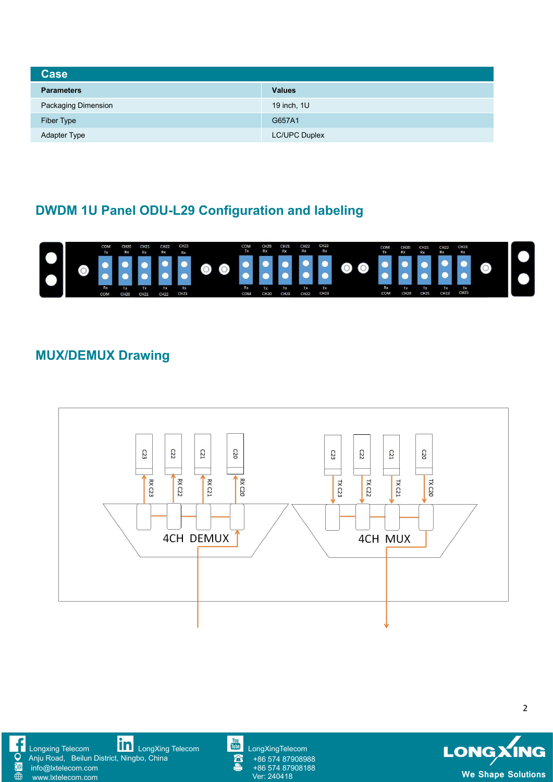| <b>Case</b>         |                      |  |  |  |
|---------------------|----------------------|--|--|--|
| <b>Parameters</b>   | <b>Values</b>        |  |  |  |
| Packaging Dimension | 19 inch, 1U          |  |  |  |
| Fiber Type          | G657A1               |  |  |  |
| Adapter Type        | <b>LC/UPC Duplex</b> |  |  |  |

# **DWDM 1U Panel ODU-L29 Configuration and labeling**



# **MUX/DEMUX Drawing**









+86 574 87908988 +86 574 87908188

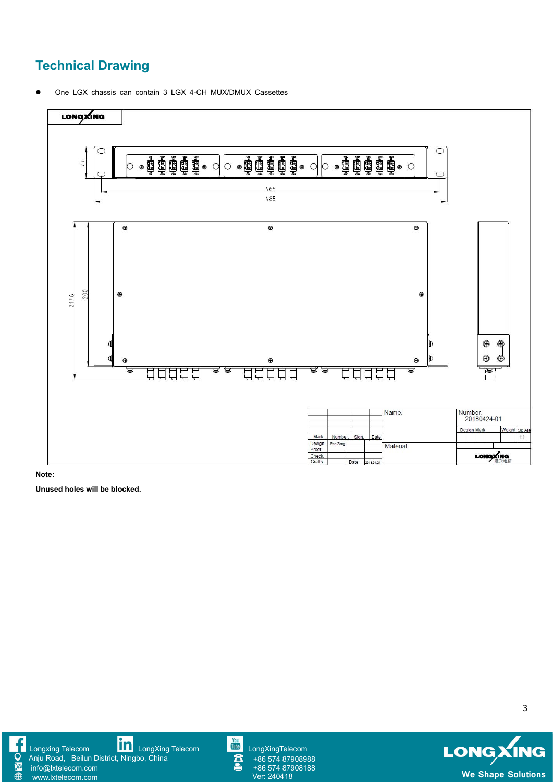# **Technical Drawing**

One LGX chassis can contain 3 LGX 4-CH MUX/DMUX Cassettes



**Note:**

**Unused holes will be blocked.**





[www.lxtelecom.com](http://www.lxtelecom.com)



+86 574 87908988 +86 574 87908188 LONGXING **We Shape Solutions**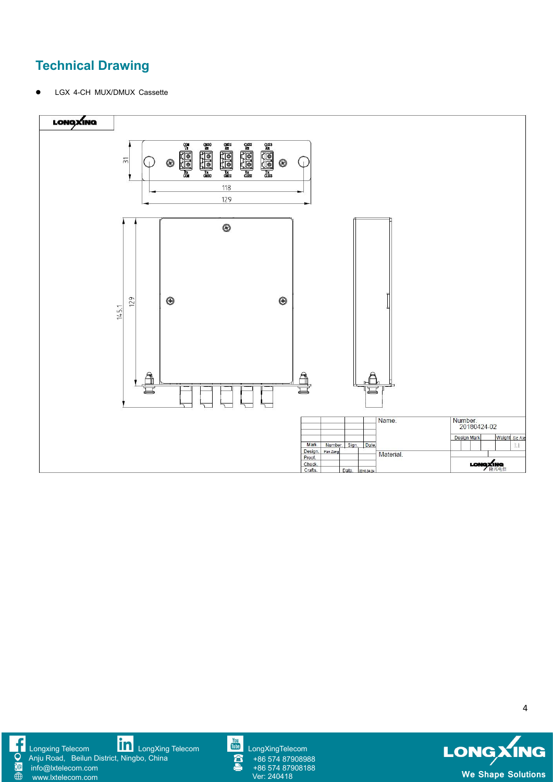# **Technical Drawing**

LGX 4-CH MUX/DMUX Cassette





[www.lxtelecom.com](http://www.lxtelecom.com)

[Longxing](https://www.facebook.com/longxingtelecom) Telecom **[LongXing](https://www.linkedin.com/company/longxing-telecom) Telecom** LongXing Telecom **[LongXingTelecom](https://www.youtube.com/user/LongXingTelecom)** LongXingTelecom Anju Road, Beilun District, Ningbo, China info@lxtelecom.com



+86 574 87908988 +86 574 87908988<br>+86 574 87908188<br>Ver: 240418

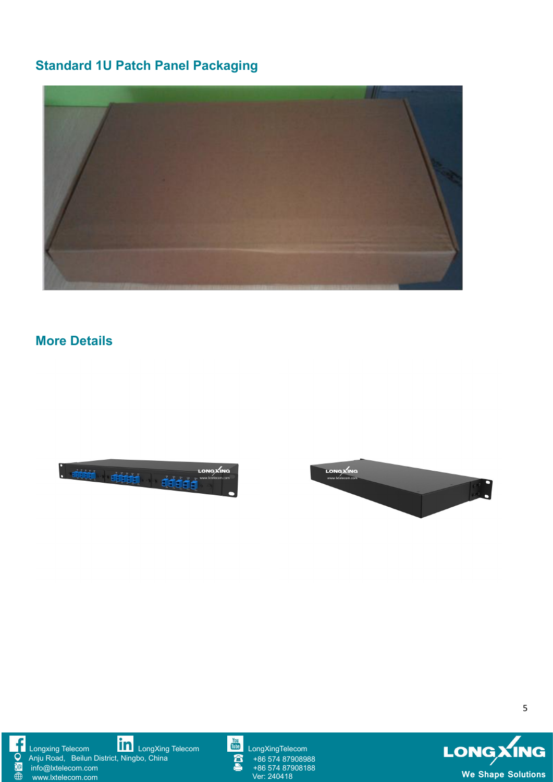# **Standard 1U Patch Panel Packaging**



#### **More Details**











+86 574 87908988 +86 574 87908988<br>+86 574 87908188<br>Ver: 240418